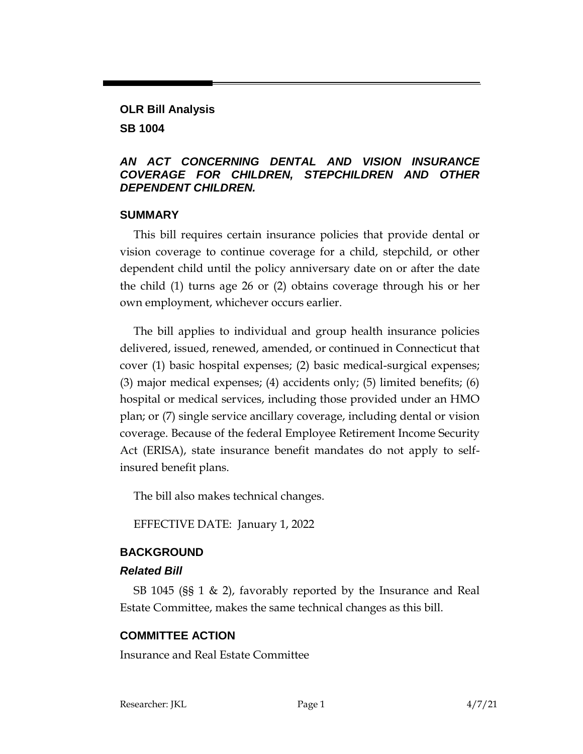# **OLR Bill Analysis SB 1004**

### *AN ACT CONCERNING DENTAL AND VISION INSURANCE COVERAGE FOR CHILDREN, STEPCHILDREN AND OTHER DEPENDENT CHILDREN.*

### **SUMMARY**

This bill requires certain insurance policies that provide dental or vision coverage to continue coverage for a child, stepchild, or other dependent child until the policy anniversary date on or after the date the child (1) turns age 26 or (2) obtains coverage through his or her own employment, whichever occurs earlier.

The bill applies to individual and group health insurance policies delivered, issued, renewed, amended, or continued in Connecticut that cover (1) basic hospital expenses; (2) basic medical-surgical expenses; (3) major medical expenses; (4) accidents only; (5) limited benefits; (6) hospital or medical services, including those provided under an HMO plan; or (7) single service ancillary coverage, including dental or vision coverage. Because of the federal Employee Retirement Income Security Act (ERISA), state insurance benefit mandates do not apply to selfinsured benefit plans.

The bill also makes technical changes.

EFFECTIVE DATE: January 1, 2022

## **BACKGROUND**

### *Related Bill*

SB 1045 (§§ 1 & 2), favorably reported by the Insurance and Real Estate Committee, makes the same technical changes as this bill.

## **COMMITTEE ACTION**

Insurance and Real Estate Committee